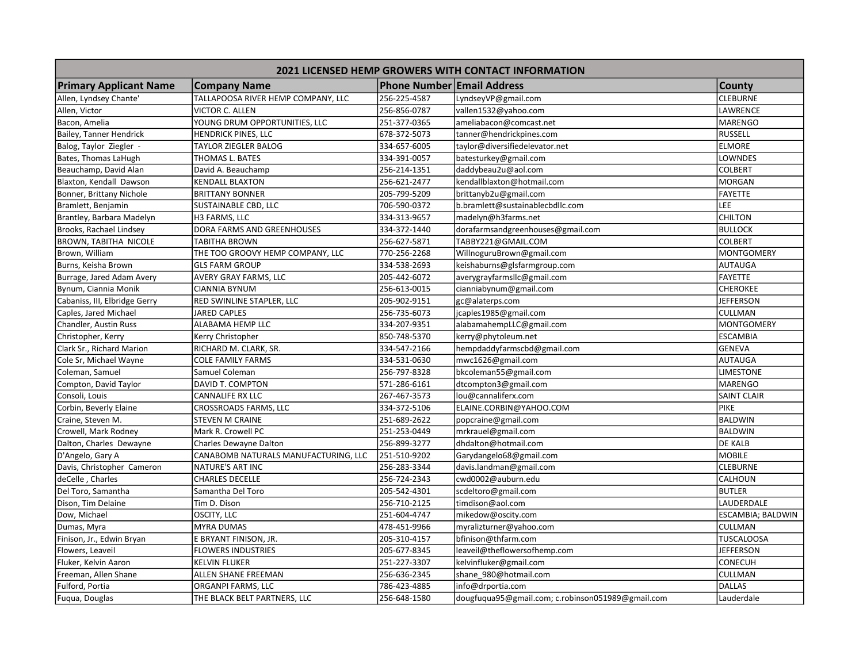| <b>2021 LICENSED HEMP GROWERS WITH CONTACT INFORMATION</b> |                                      |                            |                                                   |                    |  |  |  |
|------------------------------------------------------------|--------------------------------------|----------------------------|---------------------------------------------------|--------------------|--|--|--|
| <b>Primary Applicant Name</b>                              | <b>Company Name</b>                  | Phone Number Email Address |                                                   | <b>County</b>      |  |  |  |
| Allen, Lyndsey Chante'                                     | TALLAPOOSA RIVER HEMP COMPANY, LLC   | 256-225-4587               | LyndseyVP@gmail.com                               | <b>CLEBURNE</b>    |  |  |  |
| Allen, Victor                                              | <b>VICTOR C. ALLEN</b>               | 256-856-0787               | vallen1532@yahoo.com                              | LAWRENCE           |  |  |  |
| Bacon, Amelia                                              | YOUNG DRUM OPPORTUNITIES, LLC        | 251-377-0365               | ameliabacon@comcast.net                           | <b>MARENGO</b>     |  |  |  |
| Bailey, Tanner Hendrick                                    | <b>HENDRICK PINES, LLC</b>           | 678-372-5073               | tanner@hendrickpines.com                          | <b>RUSSELL</b>     |  |  |  |
| Balog, Taylor Ziegler -                                    | TAYLOR ZIEGLER BALOG                 | 334-657-6005               | taylor@diversifiedelevator.net                    | <b>ELMORE</b>      |  |  |  |
| Bates, Thomas LaHugh                                       | THOMAS L. BATES                      | 334-391-0057               | batesturkey@gmail.com                             | LOWNDES            |  |  |  |
| Beauchamp, David Alan                                      | David A. Beauchamp                   | 256-214-1351               | daddybeau2u@aol.com                               | <b>COLBERT</b>     |  |  |  |
| Blaxton, Kendall Dawson                                    | <b>KENDALL BLAXTON</b>               | 256-621-2477               | kendallblaxton@hotmail.com                        | <b>MORGAN</b>      |  |  |  |
| Bonner, Brittany Nichole                                   | <b>BRITTANY BONNER</b>               | 205-799-5209               | brittanyb2u@gmail.com                             | <b>FAYETTE</b>     |  |  |  |
| Bramlett, Benjamin                                         | SUSTAINABLE CBD, LLC                 | 706-590-0372               | b.bramlett@sustainablecbdllc.com                  | LEE                |  |  |  |
| Brantley, Barbara Madelyn                                  | H3 FARMS, LLC                        | 334-313-9657               | madelyn@h3farms.net                               | <b>CHILTON</b>     |  |  |  |
| Brooks, Rachael Lindsey                                    | <b>DORA FARMS AND GREENHOUSES</b>    | 334-372-1440               | dorafarmsandgreenhouses@gmail.com                 | <b>BULLOCK</b>     |  |  |  |
| <b>BROWN, TABITHA NICOLE</b>                               | <b>TABITHA BROWN</b>                 | 256-627-5871               | TABBY221@GMAIL.COM                                | <b>COLBERT</b>     |  |  |  |
| Brown, William                                             | THE TOO GROOVY HEMP COMPANY, LLC     | 770-256-2268               | WillnoguruBrown@gmail.com                         | <b>MONTGOMERY</b>  |  |  |  |
| Burns, Keisha Brown                                        | <b>GLS FARM GROUP</b>                | 334-538-2693               | keishaburns@glsfarmgroup.com                      | <b>AUTAUGA</b>     |  |  |  |
| Burrage, Jared Adam Avery                                  | <b>AVERY GRAY FARMS, LLC</b>         | 205-442-6072               | averygrayfarmsllc@gmail.com                       | FAYETTE            |  |  |  |
| Bynum, Ciannia Monik                                       | <b>CIANNIA BYNUM</b>                 | 256-613-0015               | cianniabynum@gmail.com                            | <b>CHEROKEE</b>    |  |  |  |
| Cabaniss, III, Elbridge Gerry                              | RED SWINLINE STAPLER, LLC            | 205-902-9151               | gc@alaterps.com                                   | <b>JEFFERSON</b>   |  |  |  |
| Caples, Jared Michael                                      | <b>JARED CAPLES</b>                  | 256-735-6073               | jcaples1985@gmail.com                             | <b>CULLMAN</b>     |  |  |  |
| Chandler, Austin Russ                                      | ALABAMA HEMP LLC                     | 334-207-9351               | alabamahempLLC@gmail.com                          | <b>MONTGOMERY</b>  |  |  |  |
| Christopher, Kerry                                         | Kerry Christopher                    | 850-748-5370               | kerry@phytoleum.net                               | <b>ESCAMBIA</b>    |  |  |  |
| Clark Sr., Richard Marion                                  | RICHARD M. CLARK, SR.                | 334-547-2166               | hempdaddyfarmscbd@gmail.com                       | <b>GENEVA</b>      |  |  |  |
| Cole Sr, Michael Wayne                                     | <b>COLE FAMILY FARMS</b>             | 334-531-0630               | mwc1626@gmail.com                                 | <b>AUTAUGA</b>     |  |  |  |
| Coleman, Samuel                                            | Samuel Coleman                       | 256-797-8328               | bkcoleman55@gmail.com                             | <b>LIMESTONE</b>   |  |  |  |
| Compton, David Taylor                                      | <b>DAVID T. COMPTON</b>              | 571-286-6161               | dtcompton3@gmail.com                              | <b>MARENGO</b>     |  |  |  |
| Consoli, Louis                                             | <b>CANNALIFE RX LLC</b>              | 267-467-3573               | lou@cannaliferx.com                               | <b>SAINT CLAIR</b> |  |  |  |
| Corbin, Beverly Elaine                                     | <b>CROSSROADS FARMS, LLC</b>         | 334-372-5106               | ELAINE.CORBIN@YAHOO.COM                           | <b>PIKE</b>        |  |  |  |
| Craine, Steven M.                                          | <b>STEVEN M CRAINE</b>               | 251-689-2622               | popcraine@gmail.com                               | <b>BALDWIN</b>     |  |  |  |
| Crowell, Mark Rodney                                       | Mark R. Crowell PC                   | 251-253-0449               | mrkrauel@gmail.com                                | <b>BALDWIN</b>     |  |  |  |
| Dalton, Charles Dewayne                                    | Charles Dewayne Dalton               | 256-899-3277               | dhdalton@hotmail.com                              | DE KALB            |  |  |  |
| D'Angelo, Gary A                                           | CANABOMB NATURALS MANUFACTURING, LLC | 251-510-9202               | Garydangelo68@gmail.com                           | <b>MOBILE</b>      |  |  |  |
| Davis, Christopher Cameron                                 | NATURE'S ART INC                     | 256-283-3344               | davis.landman@gmail.com                           | <b>CLEBURNE</b>    |  |  |  |
| deCelle, Charles                                           | <b>CHARLES DECELLE</b>               | 256-724-2343               | cwd0002@auburn.edu                                | CALHOUN            |  |  |  |
| Del Toro, Samantha                                         | Samantha Del Toro                    | 205-542-4301               | scdeltoro@gmail.com                               | <b>BUTLER</b>      |  |  |  |
| Dison, Tim Delaine                                         | Tim D. Dison                         | 256-710-2125               | timdison@aol.com                                  | LAUDERDALE         |  |  |  |
| Dow, Michael                                               | OSCITY, LLC                          | 251-604-4747               | mikedow@oscity.com                                | ESCAMBIA; BALDWIN  |  |  |  |
| Dumas, Myra                                                | <b>MYRA DUMAS</b>                    | 478-451-9966               | myralizturner@yahoo.com                           | <b>CULLMAN</b>     |  |  |  |
| Finison, Jr., Edwin Bryan                                  | E BRYANT FINISON, JR.                | 205-310-4157               | bfinison@thfarm.com                               | <b>TUSCALOOSA</b>  |  |  |  |
| Flowers, Leaveil                                           | <b>FLOWERS INDUSTRIES</b>            | 205-677-8345               | leaveil@theflowersofhemp.com                      | <b>JEFFERSON</b>   |  |  |  |
| Fluker, Kelvin Aaron                                       | <b>KELVIN FLUKER</b>                 | 251-227-3307               | kelvinfluker@gmail.com                            | CONECUH            |  |  |  |
| Freeman, Allen Shane                                       | ALLEN SHANE FREEMAN                  | 256-636-2345               | shane 980@hotmail.com                             | <b>CULLMAN</b>     |  |  |  |
| Fulford, Portia                                            | ORGANPI FARMS, LLC                   | 786-423-4885               | info@drportia.com                                 | <b>DALLAS</b>      |  |  |  |
| Fugua, Douglas                                             | THE BLACK BELT PARTNERS, LLC         | 256-648-1580               | dougfuqua95@gmail.com; c.robinson051989@gmail.com | Lauderdale         |  |  |  |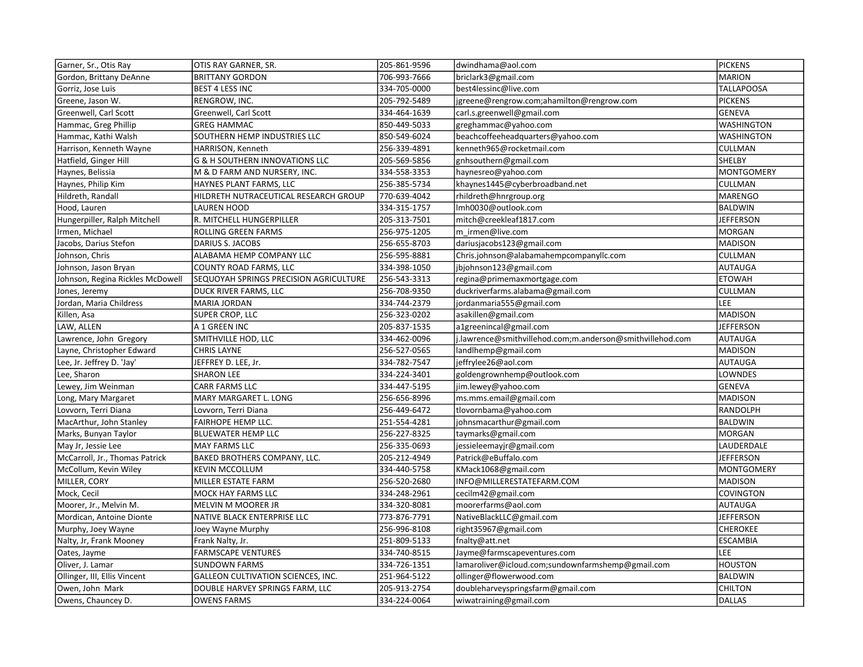| Garner, Sr., Otis Ray            | OTIS RAY GARNER, SR.                          | 205-861-9596 | dwindhama@aol.com                                         | <b>PICKENS</b>    |
|----------------------------------|-----------------------------------------------|--------------|-----------------------------------------------------------|-------------------|
| Gordon, Brittany DeAnne          | <b>BRITTANY GORDON</b>                        | 706-993-7666 | briclark3@gmail.com                                       | <b>MARION</b>     |
| Gorriz, Jose Luis                | <b>BEST 4 LESS INC</b>                        | 334-705-0000 | best4lessinc@live.com                                     | <b>TALLAPOOSA</b> |
| Greene, Jason W.                 | RENGROW, INC.                                 | 205-792-5489 | igreene@rengrow.com;ahamilton@rengrow.com                 | <b>PICKENS</b>    |
| Greenwell, Carl Scott            | Greenwell, Carl Scott                         | 334-464-1639 | carl.s.greenwell@gmail.com                                | <b>GENEVA</b>     |
| Hammac, Greg Phillip             | <b>GREG HAMMAC</b>                            | 850-449-5033 | greghammac@yahoo.com                                      | <b>WASHINGTON</b> |
| Hammac, Kathi Walsh              | SOUTHERN HEMP INDUSTRIES LLC                  | 850-549-6024 | beachcoffeeheadquarters@yahoo.com                         | <b>WASHINGTON</b> |
| Harrison, Kenneth Wayne          | HARRISON, Kenneth                             | 256-339-4891 | kenneth965@rocketmail.com                                 | CULLMAN           |
| Hatfield, Ginger Hill            | <b>G &amp; H SOUTHERN INNOVATIONS LLC</b>     | 205-569-5856 | gnhsouthern@gmail.com                                     | <b>SHELBY</b>     |
| Haynes, Belissia                 | M & D FARM AND NURSERY, INC.                  | 334-558-3353 | haynesreo@yahoo.com                                       | <b>MONTGOMERY</b> |
| Haynes, Philip Kim               | HAYNES PLANT FARMS, LLC                       | 256-385-5734 | khaynes1445@cyberbroadband.net                            | CULLMAN           |
| Hildreth, Randall                | HILDRETH NUTRACEUTICAL RESEARCH GROUP         | 770-639-4042 | rhildreth@hnrgroup.org                                    | MARENGO           |
| Hood, Lauren                     | <b>LAUREN HOOD</b>                            | 334-315-1757 | Imh0030@outlook.com                                       | <b>BALDWIN</b>    |
| Hungerpiller, Ralph Mitchell     | R. MITCHELL HUNGERPILLER                      | 205-313-7501 | mitch@creekleaf1817.com                                   | <b>JEFFERSON</b>  |
| Irmen, Michael                   | ROLLING GREEN FARMS                           | 256-975-1205 | m_irmen@live.com                                          | <b>MORGAN</b>     |
| Jacobs, Darius Stefon            | <b>DARIUS S. JACOBS</b>                       | 256-655-8703 | dariusjacobs123@gmail.com                                 | <b>MADISON</b>    |
| Johnson, Chris                   | ALABAMA HEMP COMPANY LLC                      | 256-595-8881 | Chris.johnson@alabamahempcompanyllc.com                   | <b>CULLMAN</b>    |
| Johnson, Jason Bryan             | <b>COUNTY ROAD FARMS, LLC</b>                 | 334-398-1050 | jbjohnson123@gmail.com                                    | <b>AUTAUGA</b>    |
| Johnson, Regina Rickles McDowell | <b>SEQUOYAH SPRINGS PRECISION AGRICULTURE</b> | 256-543-3313 | regina@primemaxmortgage.com                               | <b>ETOWAH</b>     |
| Jones, Jeremy                    | <b>DUCK RIVER FARMS, LLC</b>                  | 256-708-9350 | duckriverfarms.alabama@gmail.com                          | CULLMAN           |
| Jordan, Maria Childress          | <b>MARIA JORDAN</b>                           | 334-744-2379 | jordanmaria555@gmail.com                                  | LEE               |
| Killen, Asa                      | SUPER CROP, LLC                               | 256-323-0202 | asakillen@gmail.com                                       | <b>MADISON</b>    |
| LAW, ALLEN                       | A 1 GREEN INC                                 | 205-837-1535 | a1greenincal@gmail.com                                    | <b>JEFFERSON</b>  |
| Lawrence, John Gregory           | SMITHVILLE HOD, LLC                           | 334-462-0096 | j.lawrence@smithvillehod.com;m.anderson@smithvillehod.com | <b>AUTAUGA</b>    |
| Layne, Christopher Edward        | <b>CHRIS LAYNE</b>                            | 256-527-0565 | landlhemp@gmail.com                                       | <b>MADISON</b>    |
| Lee, Jr. Jeffrey D. 'Jay'        | JEFFREY D. LEE, Jr.                           | 334-782-7547 | jeffrylee26@aol.com                                       | <b>AUTAUGA</b>    |
| Lee, Sharon                      | <b>SHARON LEE</b>                             | 334-224-3401 | goldengrownhemp@outlook.com                               | LOWNDES           |
| Lewey, Jim Weinman               | <b>CARR FARMS LLC</b>                         | 334-447-5195 | jim.lewey@yahoo.com                                       | <b>GENEVA</b>     |
| Long, Mary Margaret              | MARY MARGARET L. LONG                         | 256-656-8996 | ms.mms.email@gmail.com                                    | <b>MADISON</b>    |
| Lovvorn, Terri Diana             | Lovvorn, Terri Diana                          | 256-449-6472 | tlovornbama@yahoo.com                                     | <b>RANDOLPH</b>   |
| MacArthur, John Stanley          | FAIRHOPE HEMP LLC.                            | 251-554-4281 | johnsmacarthur@gmail.com                                  | <b>BALDWIN</b>    |
| Marks, Bunyan Taylor             | BLUEWATER HEMP LLC                            | 256-227-8325 | taymarks@gmail.com                                        | <b>MORGAN</b>     |
| May Jr, Jessie Lee               | MAY FARMS LLC                                 | 256-335-0693 | jessieleemayjr@gmail.com                                  | LAUDERDALE        |
| McCarroll, Jr., Thomas Patrick   | BAKED BROTHERS COMPANY, LLC.                  | 205-212-4949 | Patrick@eBuffalo.com                                      | <b>JEFFERSON</b>  |
| McCollum, Kevin Wiley            | <b>KEVIN MCCOLLUM</b>                         | 334-440-5758 | KMack1068@gmail.com                                       | <b>MONTGOMERY</b> |
| MILLER, CORY                     | <b>MILLER ESTATE FARM</b>                     | 256-520-2680 | INFO@MILLERESTATEFARM.COM                                 | <b>MADISON</b>    |
| Mock, Cecil                      | <b>MOCK HAY FARMS LLC</b>                     | 334-248-2961 | cecilm42@gmail.com                                        | COVINGTON         |
| Moorer, Jr., Melvin M.           | <b>MELVIN M MOORER JR</b>                     | 334-320-8081 | moorerfarms@aol.com                                       | <b>AUTAUGA</b>    |
| Mordican, Antoine Dionte         | NATIVE BLACK ENTERPRISE LLC                   | 773-876-7791 | NativeBlackLLC@gmail.com                                  | <b>JEFFERSON</b>  |
| Murphy, Joey Wayne               | Joey Wayne Murphy                             | 256-996-8108 | right35967@gmail.com                                      | <b>CHEROKEE</b>   |
| Nalty, Jr, Frank Mooney          | Frank Nalty, Jr.                              | 251-809-5133 | fnalty@att.net                                            | <b>ESCAMBIA</b>   |
| Oates, Jayme                     | <b>FARMSCAPE VENTURES</b>                     | 334-740-8515 | Jayme@farmscapeventures.com                               | LEE               |
| Oliver, J. Lamar                 | <b>SUNDOWN FARMS</b>                          | 334-726-1351 | lamaroliver@icloud.com;sundownfarmshemp@gmail.com         | <b>HOUSTON</b>    |
| Ollinger, III, Ellis Vincent     | GALLEON CULTIVATION SCIENCES, INC.            | 251-964-5122 | ollinger@flowerwood.com                                   | <b>BALDWIN</b>    |
| Owen, John Mark                  | DOUBLE HARVEY SPRINGS FARM, LLC               | 205-913-2754 | doubleharveyspringsfarm@gmail.com                         | <b>CHILTON</b>    |
| Owens, Chauncey D.               | <b>OWENS FARMS</b>                            | 334-224-0064 | wiwatraining@gmail.com                                    | <b>DALLAS</b>     |